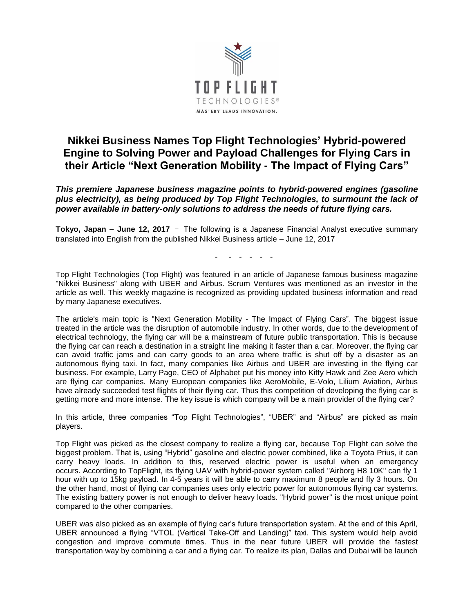

## **Nikkei Business Names Top Flight Technologies' Hybrid-powered Engine to Solving Power and Payload Challenges for Flying Cars in their Article "Next Generation Mobility - The Impact of Flying Cars"**

*This premiere Japanese business magazine points to hybrid-powered engines (gasoline plus electricity), as being produced by Top Flight Technologies, to surmount the lack of power available in battery-only solutions to address the needs of future flying cars.*

**Tokyo, Japan – June 12, 2017** - The following is a Japanese Financial Analyst executive summary translated into English from the published Nikkei Business article – June 12, 2017

- - - - - -

Top Flight Technologies (Top Flight) was featured in an article of Japanese famous business magazine "Nikkei Business" along with UBER and Airbus. Scrum Ventures was mentioned as an investor in the article as well. This weekly magazine is recognized as providing updated business information and read by many Japanese executives.

The article's main topic is "Next Generation Mobility - The Impact of Flying Cars". The biggest issue treated in the article was the disruption of automobile industry. In other words, due to the development of electrical technology, the flying car will be a mainstream of future public transportation. This is because the flying car can reach a destination in a straight line making it faster than a car. Moreover, the flying car can avoid traffic jams and can carry goods to an area where traffic is shut off by a disaster as an autonomous flying taxi. In fact, many companies like Airbus and UBER are investing in the flying car business. For example, Larry Page, CEO of Alphabet put his money into Kitty Hawk and Zee Aero which are flying car companies. Many European companies like AeroMobile, E-Volo, Lilium Aviation, Airbus have already succeeded test flights of their flying car. Thus this competition of developing the flying car is getting more and more intense. The key issue is which company will be a main provider of the flying car?

In this article, three companies "Top Flight Technologies", "UBER" and "Airbus" are picked as main players.

Top Flight was picked as the closest company to realize a flying car, because Top Flight can solve the biggest problem. That is, using "Hybrid" gasoline and electric power combined, like a Toyota Prius, it can carry heavy loads. In addition to this, reserved electric power is useful when an emergency occurs. According to TopFlight, its flying UAV with hybrid-power system called "Airborg H8 10K" can fly 1 hour with up to 15kg payload. In 4-5 years it will be able to carry maximum 8 people and fly 3 hours. On the other hand, most of flying car companies uses only electric power for autonomous flying car systems. The existing battery power is not enough to deliver heavy loads. "Hybrid power" is the most unique point compared to the other companies.

UBER was also picked as an example of flying car's future transportation system. At the end of this April, UBER announced a flying "VTOL (Vertical Take-Off and Landing)" taxi. This system would help avoid congestion and improve commute times. Thus in the near future UBER will provide the fastest transportation way by combining a car and a flying car. To realize its plan, Dallas and Dubai will be launch